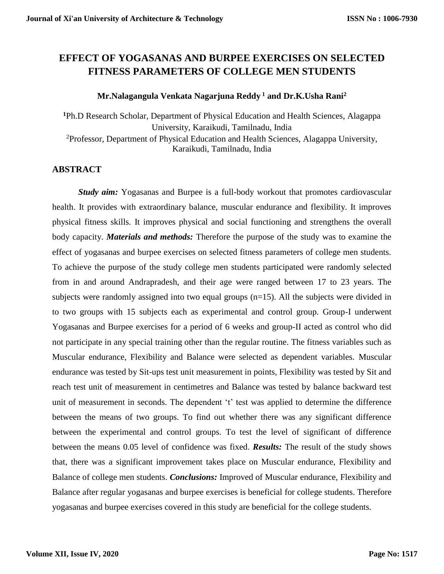# **EFFECT OF YOGASANAS AND BURPEE EXERCISES ON SELECTED FITNESS PARAMETERS OF COLLEGE MEN STUDENTS**

### **Mr.Nalagangula Venkata Nagarjuna Reddy <sup>1</sup> and Dr.K.Usha Rani<sup>2</sup>**

**<sup>1</sup>**Ph.D Research Scholar, Department of Physical Education and Health Sciences, Alagappa University, Karaikudi, Tamilnadu, India <sup>2</sup>Professor, Department of Physical Education and Health Sciences, Alagappa University, Karaikudi, Tamilnadu, India

## **ABSTRACT**

*Study aim:* Yogasanas and Burpee is a full-body workout that promotes cardiovascular health. It provides with extraordinary balance, muscular endurance and flexibility. It improves physical fitness skills. It improves physical and social functioning and strengthens the overall body capacity. *Materials and methods:* Therefore the purpose of the study was to examine the effect of yogasanas and burpee exercises on selected fitness parameters of college men students. To achieve the purpose of the study college men students participated were randomly selected from in and around Andrapradesh, and their age were ranged between 17 to 23 years. The subjects were randomly assigned into two equal groups (n=15). All the subjects were divided in to two groups with 15 subjects each as experimental and control group. Group-I underwent Yogasanas and Burpee exercises for a period of 6 weeks and group-II acted as control who did not participate in any special training other than the regular routine. The fitness variables such as Muscular endurance, Flexibility and Balance were selected as dependent variables. Muscular endurance was tested by Sit-ups test unit measurement in points, Flexibility was tested by Sit and reach test unit of measurement in centimetres and Balance was tested by balance backward test unit of measurement in seconds. The dependent 't' test was applied to determine the difference between the means of two groups. To find out whether there was any significant difference between the experimental and control groups. To test the level of significant of difference between the means 0.05 level of confidence was fixed. *Results:* The result of the study shows that, there was a significant improvement takes place on Muscular endurance, Flexibility and Balance of college men students. *Conclusions:* Improved of Muscular endurance, Flexibility and Balance after regular yogasanas and burpee exercises is beneficial for college students. Therefore yogasanas and burpee exercises covered in this study are beneficial for the college students.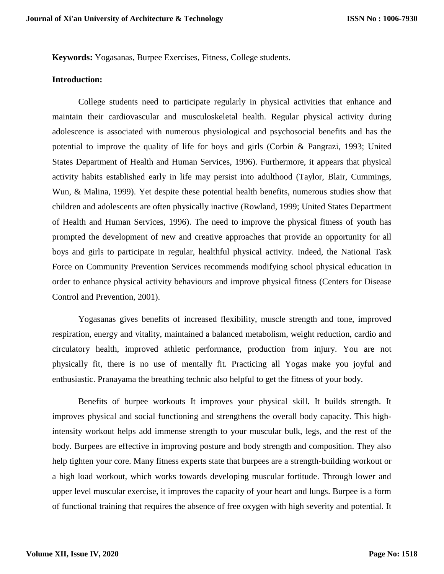**Keywords:** Yogasanas, Burpee Exercises, Fitness, College students.

#### **Introduction:**

College students need to participate regularly in physical activities that enhance and maintain their cardiovascular and musculoskeletal health. Regular physical activity during adolescence is associated with numerous physiological and psychosocial benefits and has the potential to improve the quality of life for boys and girls (Corbin & Pangrazi, 1993; United States Department of Health and Human Services, 1996). Furthermore, it appears that physical activity habits established early in life may persist into adulthood (Taylor, Blair, Cummings, Wun, & Malina, 1999). Yet despite these potential health benefits, numerous studies show that children and adolescents are often physically inactive (Rowland, 1999; United States Department of Health and Human Services, 1996). The need to improve the physical fitness of youth has prompted the development of new and creative approaches that provide an opportunity for all boys and girls to participate in regular, healthful physical activity. Indeed, the National Task Force on Community Prevention Services recommends modifying school physical education in order to enhance physical activity behaviours and improve physical fitness (Centers for Disease Control and Prevention, 2001).

Yogasanas gives benefits of increased flexibility, muscle strength and tone, improved respiration, energy and vitality, maintained a balanced metabolism, weight reduction, cardio and circulatory health, improved athletic performance, production from injury. You are not physically fit, there is no use of mentally fit. Practicing all Yogas make you joyful and enthusiastic. Pranayama the breathing technic also helpful to get the fitness of your body.

Benefits of burpee workouts It improves your physical skill. It builds strength. It improves physical and social functioning and strengthens the overall body capacity. This highintensity workout helps add immense strength to your muscular bulk, legs, and the rest of the body. Burpees are effective in improving posture and body strength and composition. They also help tighten your core. Many fitness experts state that burpees are a [strength-building workout](https://www.stylecraze.com/articles/strength-training-and-endurance-a-beginners-guide/) or a high load workout, which works towards developing muscular fortitude. Through lower and upper level muscular exercise, it improves the capacity of your heart and lungs. Burpee is a form of functional training that requires the absence of free oxygen with high severity and potential. It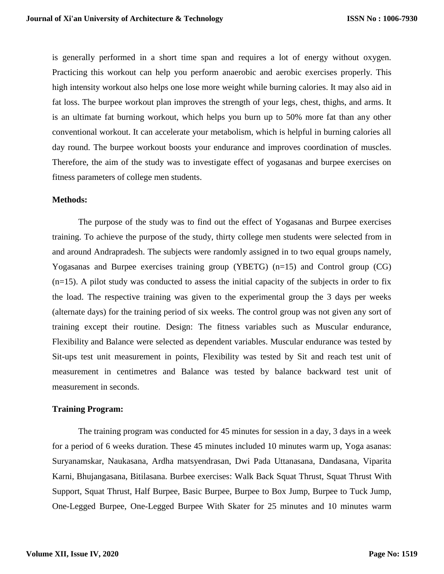is generally performed in a short time span and requires a lot of energy without oxygen. Practicing this workout can help you perform [anaerobic and aerobic exercises](https://www.stylecraze.com/articles/types-of-aerobic-and-anaerobic-exercises/) properly. This high intensity workout also helps one lose more weight while burning calories. It may also aid in fat loss. The burpee workout plan improves the strength of your legs, chest, thighs, and arms. It is an ultimate fat burning workout, which helps you burn up to 50% more fat than any other conventional workout. It can accelerate your metabolism, which is helpful in burning calories all day round. The burpee workout boosts your endurance and improves coordination of muscles. Therefore, the aim of the study was to investigate effect of yogasanas and burpee exercises on fitness parameters of college men students.

#### **Methods:**

The purpose of the study was to find out the effect of Yogasanas and Burpee exercises training. To achieve the purpose of the study, thirty college men students were selected from in and around Andrapradesh. The subjects were randomly assigned in to two equal groups namely, Yogasanas and Burpee exercises training group (YBETG) (n=15) and Control group (CG)  $(n=15)$ . A pilot study was conducted to assess the initial capacity of the subjects in order to fix the load. The respective training was given to the experimental group the 3 days per weeks (alternate days) for the training period of six weeks. The control group was not given any sort of training except their routine. Design: The fitness variables such as Muscular endurance, Flexibility and Balance were selected as dependent variables. Muscular endurance was tested by Sit-ups test unit measurement in points, Flexibility was tested by Sit and reach test unit of measurement in centimetres and Balance was tested by balance backward test unit of measurement in seconds.

#### **Training Program:**

The training program was conducted for 45 minutes for session in a day, 3 days in a week for a period of 6 weeks duration. These 45 minutes included 10 minutes warm up, Yoga asanas: Suryanamskar, Naukasana, Ardha matsyendrasan, Dwi Pada Uttanasana, Dandasana, Viparita Karni, Bhujangasana, Bitilasana. Burbee exercises: Walk Back Squat Thrust, Squat Thrust With Support, Squat Thrust, Half Burpee, Basic Burpee, Burpee to Box Jump, Burpee to Tuck Jump, One-Legged Burpee, One-Legged Burpee With Skater for 25 minutes and 10 minutes warm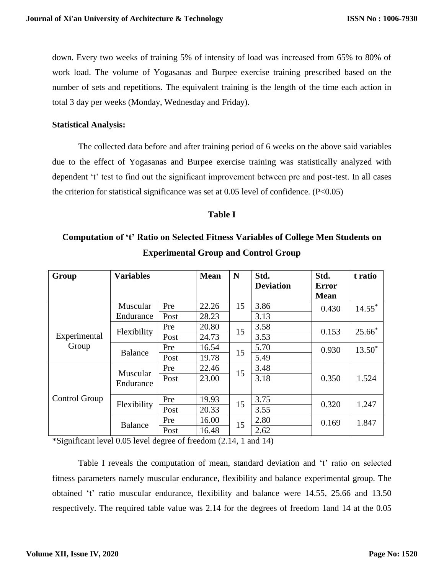down. Every two weeks of training 5% of intensity of load was increased from 65% to 80% of work load. The volume of Yogasanas and Burpee exercise training prescribed based on the number of sets and repetitions. The equivalent training is the length of the time each action in total 3 day per weeks (Monday, Wednesday and Friday).

### **Statistical Analysis:**

The collected data before and after training period of 6 weeks on the above said variables due to the effect of Yogasanas and Burpee exercise training was statistically analyzed with dependent 't' test to find out the significant improvement between pre and post-test. In all cases the criterion for statistical significance was set at  $0.05$  level of confidence. (P<0.05)

### **Table I**

# **Computation of 't' Ratio on Selected Fitness Variables of College Men Students on Experimental Group and Control Group**

| Group                 | <b>Variables</b>      |      | <b>Mean</b> | N  | Std.             | Std.         | t ratio              |
|-----------------------|-----------------------|------|-------------|----|------------------|--------------|----------------------|
|                       |                       |      |             |    | <b>Deviation</b> | <b>Error</b> |                      |
|                       |                       |      |             |    |                  | <b>Mean</b>  |                      |
|                       | Muscular              | Pre  | 22.26       | 15 | 3.86             | 0.430        | $14.55$ <sup>*</sup> |
| Experimental<br>Group | Endurance             | Post | 28.23       |    | 3.13             |              |                      |
|                       | Flexibility           | Pre  | 20.80       | 15 | 3.58             | 0.153        | $25.66*$             |
|                       |                       | Post | 24.73       |    | 3.53             |              |                      |
|                       | <b>Balance</b>        | Pre  | 16.54       | 15 | 5.70             | 0.930        | $13.50*$             |
|                       |                       | Post | 19.78       |    | 5.49             |              |                      |
| Control Group         | Muscular<br>Endurance | Pre  | 22.46       | 15 | 3.48             | 0.350        | 1.524                |
|                       |                       | Post | 23.00       |    | 3.18             |              |                      |
|                       | Flexibility           | Pre  | 19.93       | 15 | 3.75             | 0.320        | 1.247                |
|                       |                       | Post | 20.33       |    | 3.55             |              |                      |
|                       | <b>Balance</b>        | Pre  | 16.00       | 15 | 2.80             | 0.169        | 1.847                |
|                       |                       | Post | 16.48       |    | 2.62             |              |                      |

\*Significant level 0.05 level degree of freedom (2.14, 1 and 14)

Table I reveals the computation of mean, standard deviation and 't' ratio on selected fitness parameters namely muscular endurance, flexibility and balance experimental group. The obtained 't' ratio muscular endurance, flexibility and balance were 14.55, 25.66 and 13.50 respectively. The required table value was 2.14 for the degrees of freedom 1and 14 at the 0.05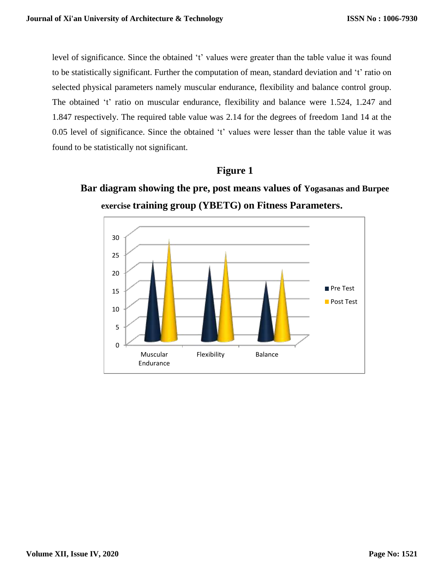level of significance. Since the obtained 't' values were greater than the table value it was found to be statistically significant. Further the computation of mean, standard deviation and 't' ratio on selected physical parameters namely muscular endurance, flexibility and balance control group. The obtained 't' ratio on muscular endurance, flexibility and balance were 1.524, 1.247 and 1.847 respectively. The required table value was 2.14 for the degrees of freedom 1and 14 at the 0.05 level of significance. Since the obtained 't' values were lesser than the table value it was found to be statistically not significant.

# **Figure 1**

**Bar diagram showing the pre, post means values of Yogasanas and Burpee exercise training group (YBETG) on Fitness Parameters.**

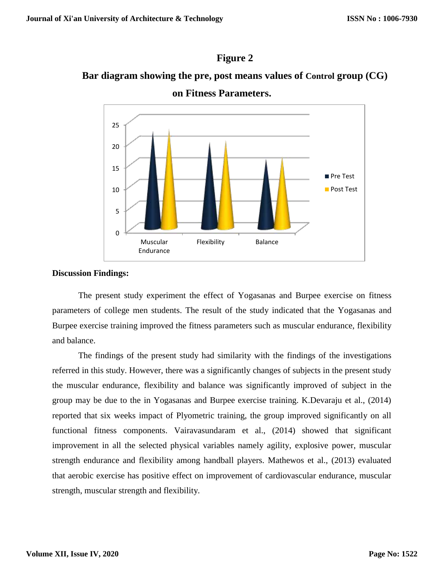# **Figure 2**

# **Bar diagram showing the pre, post means values of Control group (CG)**



**on Fitness Parameters.**

## **Discussion Findings:**

The present study experiment the effect of Yogasanas and Burpee exercise on fitness parameters of college men students. The result of the study indicated that the Yogasanas and Burpee exercise training improved the fitness parameters such as muscular endurance, flexibility and balance.

The findings of the present study had similarity with the findings of the investigations referred in this study. However, there was a significantly changes of subjects in the present study the muscular endurance, flexibility and balance was significantly improved of subject in the group may be due to the in Yogasanas and Burpee exercise training. K.Devaraju et al., (2014) reported that six weeks impact of Plyometric training, the group improved significantly on all functional fitness components. Vairavasundaram et al., (2014) showed that significant improvement in all the selected physical variables namely agility, explosive power, muscular strength endurance and flexibility among handball players. Mathewos et al., (2013) evaluated that aerobic exercise has positive effect on improvement of cardiovascular endurance, muscular strength, muscular strength and flexibility.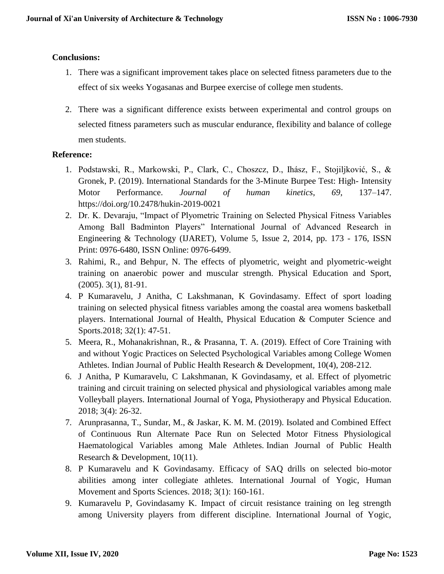## **Conclusions:**

- 1. There was a significant improvement takes place on selected fitness parameters due to the effect of six weeks Yogasanas and Burpee exercise of college men students.
- 2. There was a significant difference exists between experimental and control groups on selected fitness parameters such as muscular endurance, flexibility and balance of college men students.

## **Reference:**

- 1. Podstawski, R., Markowski, P., Clark, C., Choszcz, D., Ihász, F., Stojiljković, S., & Gronek, P. (2019). International Standards for the 3-Minute Burpee Test: High- Intensity Motor Performance. *Journal of human kinetics*, *69*, 137–147. https://doi.org/10.2478/hukin-2019-0021
- 2. Dr. K. Devaraju, "Impact of Plyometric Training on Selected Physical Fitness Variables Among Ball Badminton Players" International Journal of Advanced Research in Engineering & Technology (IJARET), Volume 5, Issue 2, 2014, pp. 173 - 176, ISSN Print: 0976-6480, ISSN Online: 0976-6499.
- 3. Rahimi, R., and Behpur, N. The effects of plyometric, weight and plyometric-weight training on anaerobic power and muscular strength. Physical Education and Sport, (2005). 3(1), 81-91.
- 4. P Kumaravelu, J Anitha, C Lakshmanan, K Govindasamy. Effect of sport loading training on selected physical fitness variables among the coastal area womens basketball players. International Journal of Health, Physical Education & Computer Science and Sports.2018; 32(1): 47-51.
- 5. Meera, R., Mohanakrishnan, R., & Prasanna, T. A. (2019). Effect of Core Training with and without Yogic Practices on Selected Psychological Variables among College Women Athletes. Indian Journal of Public Health Research & Development, 10(4), 208-212.
- 6. J Anitha, P Kumaravelu, C Lakshmanan, K Govindasamy, et al. Effect of plyometric training and circuit training on selected physical and physiological variables among male Volleyball players. International Journal of Yoga, Physiotherapy and Physical Education. 2018; 3(4): 26-32.
- 7. Arunprasanna, T., Sundar, M., & Jaskar, K. M. M. (2019). Isolated and Combined Effect of Continuous Run Alternate Pace Run on Selected Motor Fitness Physiological Haematological Variables among Male Athletes. Indian Journal of Public Health Research & Development, 10(11).
- 8. P Kumaravelu and K Govindasamy. Efficacy of SAQ drills on selected bio-motor abilities among inter collegiate athletes. International Journal of Yogic, Human Movement and Sports Sciences. 2018; 3(1): 160-161.
- 9. Kumaravelu P, Govindasamy K. Impact of circuit resistance training on leg strength among University players from different discipline. International Journal of Yogic,